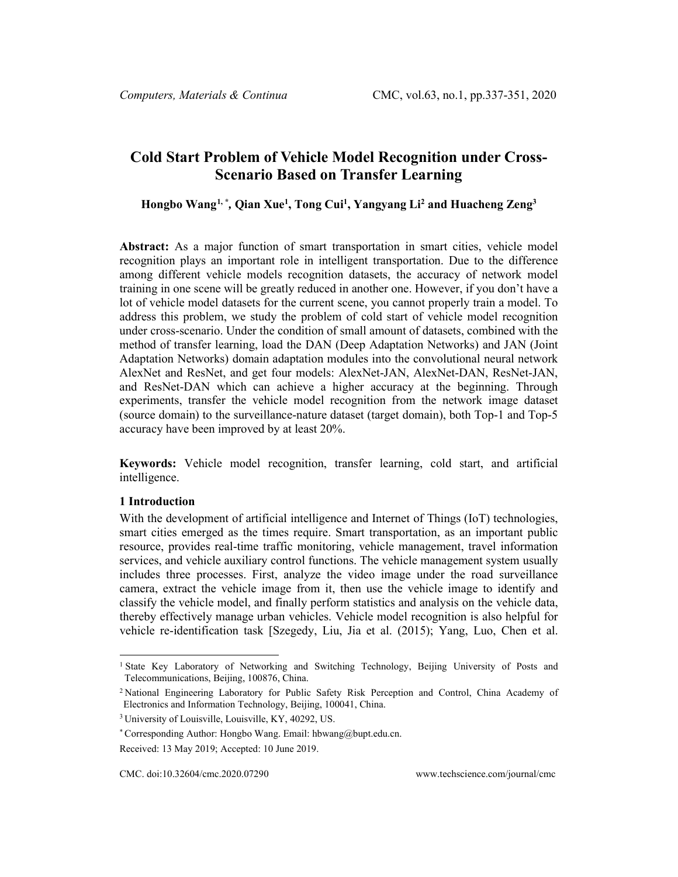# **Cold Start Problem of Vehicle Model Recognition under Cross-Scenario Based on Transfer Learning**

**Hongbo Wang[1,](#page-0-0) \*** *,* **Qian Xue1 , Tong Cui1 , Yangyang Li2 and Huacheng Zeng3**

**Abstract:** As a major function of smart transportation in smart cities, vehicle model recognition plays an important role in intelligent transportation. Due to the difference among different vehicle models recognition datasets, the accuracy of network model training in one scene will be greatly reduced in another one. However, if you don't have a lot of vehicle model datasets for the current scene, you cannot properly train a model. To address this problem, we study the problem of cold start of vehicle model recognition under cross-scenario. Under the condition of small amount of datasets, combined with the method of transfer learning, load the DAN (Deep Adaptation Networks) and JAN (Joint Adaptation Networks) domain adaptation modules into the convolutional neural network AlexNet and ResNet, and get four models: AlexNet-JAN, AlexNet-DAN, ResNet-JAN, and ResNet-DAN which can achieve a higher accuracy at the beginning. Through experiments, transfer the vehicle model recognition from the network image dataset (source domain) to the surveillance-nature dataset (target domain), both Top-1 and Top-5 accuracy have been improved by at least 20%.

**Keywords:** Vehicle model recognition, transfer learning, cold start, and artificial intelligence.

## **1 Introduction**

With the development of artificial intelligence and Internet of Things (IoT) technologies, smart cities emerged as the times require. Smart transportation, as an important public resource, provides real-time traffic monitoring, vehicle management, travel information services, and vehicle auxiliary control functions. The vehicle management system usually includes three processes. First, analyze the video image under the road surveillance camera, extract the vehicle image from it, then use the vehicle image to identify and classify the vehicle model, and finally perform statistics and analysis on the vehicle data, thereby effectively manage urban vehicles. Vehicle model recognition is also helpful for vehicle re-identification task [Szegedy, Liu, Jia et al. (2015); Yang, Luo, Chen et al.

<span id="page-0-0"></span><sup>1</sup> State Key Laboratory of Networking and Switching Technology, Beijing University of Posts and Telecommunications, Beijing, 100876, China.

<sup>2</sup> National Engineering Laboratory for Public Safety Risk Perception and Control, China Academy of Electronics and Information Technology, Beijing, 100041, China.

<sup>3</sup> University of Louisville, Louisville, KY, 40292, US.

<sup>\*</sup> Corresponding Author: Hongbo Wang. Email: hbwang@bupt.edu.cn.

Received: 13 May 2019; Accepted: 10 June 2019.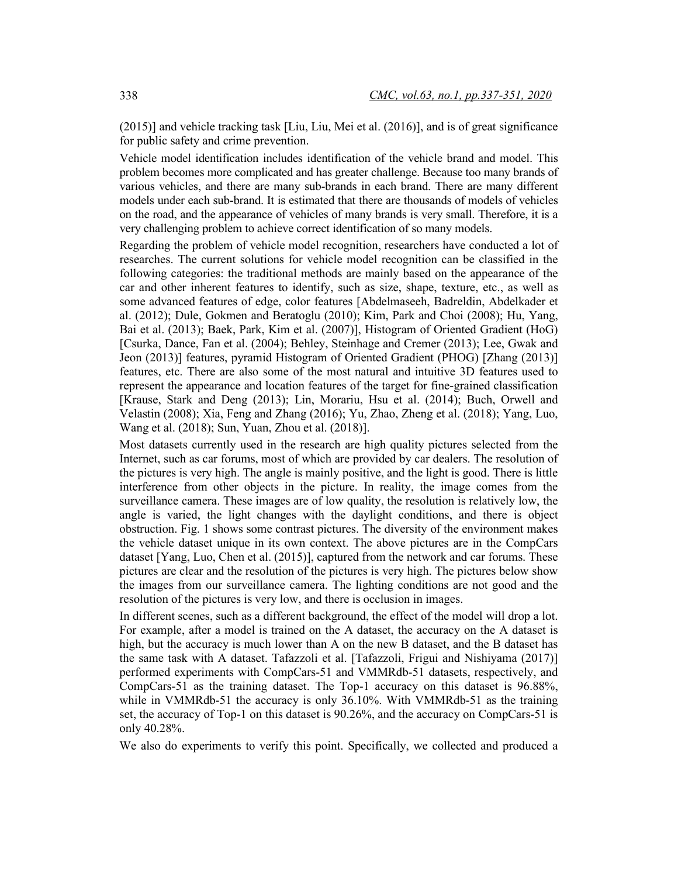(2015)] and vehicle tracking task [Liu, Liu, Mei et al. (2016)], and is of great significance for public safety and crime prevention.

Vehicle model identification includes identification of the vehicle brand and model. This problem becomes more complicated and has greater challenge. Because too many brands of various vehicles, and there are many sub-brands in each brand. There are many different models under each sub-brand. It is estimated that there are thousands of models of vehicles on the road, and the appearance of vehicles of many brands is very small. Therefore, it is a very challenging problem to achieve correct identification of so many models.

Regarding the problem of vehicle model recognition, researchers have conducted a lot of researches. The current solutions for vehicle model recognition can be classified in the following categories: the traditional methods are mainly based on the appearance of the car and other inherent features to identify, such as size, shape, texture, etc., as well as some advanced features of edge, color features [Abdelmaseeh, Badreldin, Abdelkader et al. (2012); Dule, Gokmen and Beratoglu (2010); Kim, Park and Choi (2008); Hu, Yang, Bai et al. (2013); Baek, Park, Kim et al. (2007)], Histogram of Oriented Gradient (HoG) [Csurka, Dance, Fan et al. (2004); Behley, Steinhage and Cremer (2013); Lee, Gwak and Jeon (2013)] features, pyramid Histogram of Oriented Gradient (PHOG) [Zhang (2013)] features, etc. There are also some of the most natural and intuitive 3D features used to represent the appearance and location features of the target for fine-grained classification [Krause, Stark and Deng (2013); Lin, Morariu, Hsu et al. (2014); Buch, Orwell and Velastin (2008); Xia, Feng and Zhang (2016); Yu, Zhao, Zheng et al. (2018); Yang, Luo, Wang et al. (2018); Sun, Yuan, Zhou et al. (2018)].

Most datasets currently used in the research are high quality pictures selected from the Internet, such as car forums, most of which are provided by car dealers. The resolution of the pictures is very high. The angle is mainly positive, and the light is good. There is little interference from other objects in the picture. In reality, the image comes from the surveillance camera. These images are of low quality, the resolution is relatively low, the angle is varied, the light changes with the daylight conditions, and there is object obstruction. Fig. 1 shows some contrast pictures. The diversity of the environment makes the vehicle dataset unique in its own context. The above pictures are in the CompCars dataset [Yang, Luo, Chen et al. (2015)], captured from the network and car forums. These pictures are clear and the resolution of the pictures is very high. The pictures below show the images from our surveillance camera. The lighting conditions are not good and the resolution of the pictures is very low, and there is occlusion in images.

In different scenes, such as a different background, the effect of the model will drop a lot. For example, after a model is trained on the A dataset, the accuracy on the A dataset is high, but the accuracy is much lower than A on the new B dataset, and the B dataset has the same task with A dataset. Tafazzoli et al. [Tafazzoli, Frigui and Nishiyama (2017)] performed experiments with CompCars-51 and VMMRdb-51 datasets, respectively, and CompCars-51 as the training dataset. The Top-1 accuracy on this dataset is 96.88%, while in VMMRdb-51 the accuracy is only 36.10%. With VMMRdb-51 as the training set, the accuracy of Top-1 on this dataset is 90.26%, and the accuracy on CompCars-51 is only 40.28%.

We also do experiments to verify this point. Specifically, we collected and produced a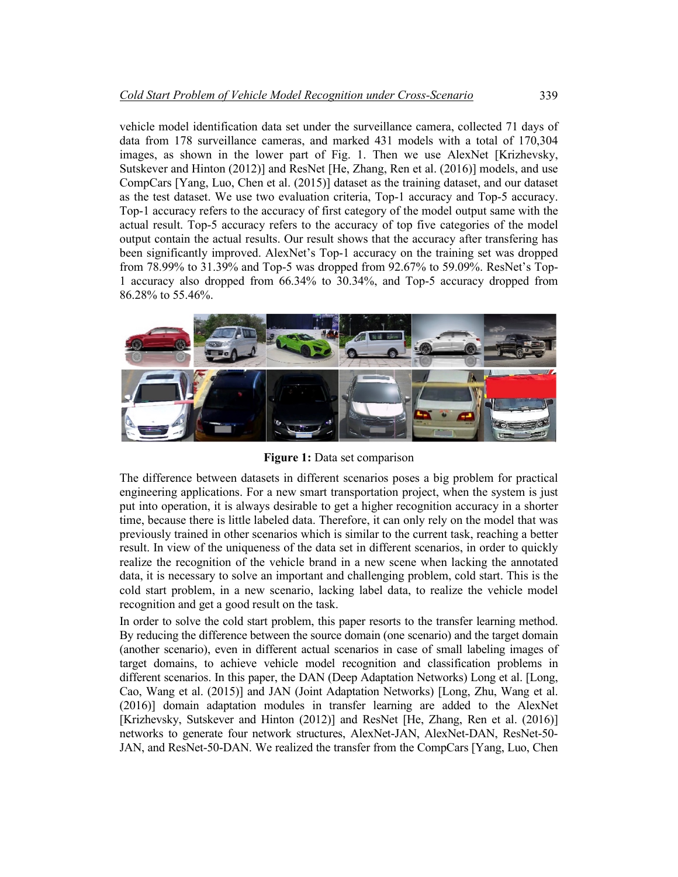vehicle model identification data set under the surveillance camera, collected 71 days of data from 178 surveillance cameras, and marked 431 models with a total of 170,304 images, as shown in the lower part of Fig. 1. Then we use AlexNet [Krizhevsky, Sutskever and Hinton (2012)] and ResNet [He, Zhang, Ren et al. (2016)] models, and use CompCars [Yang, Luo, Chen et al. (2015)] dataset as the training dataset, and our dataset as the test dataset. We use two evaluation criteria, Top-1 accuracy and Top-5 accuracy. Top-1 accuracy refers to the accuracy of first category of the model output same with the actual result. Top-5 accuracy refers to the accuracy of top five categories of the model output contain the actual results. Our result shows that the accuracy after transfering has been significantly improved. AlexNet's Top-1 accuracy on the training set was dropped from 78.99% to 31.39% and Top-5 was dropped from 92.67% to 59.09%. ResNet's Top-1 accuracy also dropped from 66.34% to 30.34%, and Top-5 accuracy dropped from 86.28% to 55.46%.



**Figure 1:** Data set comparison

The difference between datasets in different scenarios poses a big problem for practical engineering applications. For a new smart transportation project, when the system is just put into operation, it is always desirable to get a higher recognition accuracy in a shorter time, because there is little labeled data. Therefore, it can only rely on the model that was previously trained in other scenarios which is similar to the current task, reaching a better result. In view of the uniqueness of the data set in different scenarios, in order to quickly realize the recognition of the vehicle brand in a new scene when lacking the annotated data, it is necessary to solve an important and challenging problem, cold start. This is the cold start problem, in a new scenario, lacking label data, to realize the vehicle model recognition and get a good result on the task.

In order to solve the cold start problem, this paper resorts to the transfer learning method. By reducing the difference between the source domain (one scenario) and the target domain (another scenario), even in different actual scenarios in case of small labeling images of target domains, to achieve vehicle model recognition and classification problems in different scenarios. In this paper, the DAN (Deep Adaptation Networks) Long et al. [Long, Cao, Wang et al. (2015)] and JAN (Joint Adaptation Networks) [Long, Zhu, Wang et al. (2016)] domain adaptation modules in transfer learning are added to the AlexNet [Krizhevsky, Sutskever and Hinton (2012)] and ResNet [He, Zhang, Ren et al. (2016)] networks to generate four network structures, AlexNet-JAN, AlexNet-DAN, ResNet-50- JAN, and ResNet-50-DAN. We realized the transfer from the CompCars [Yang, Luo, Chen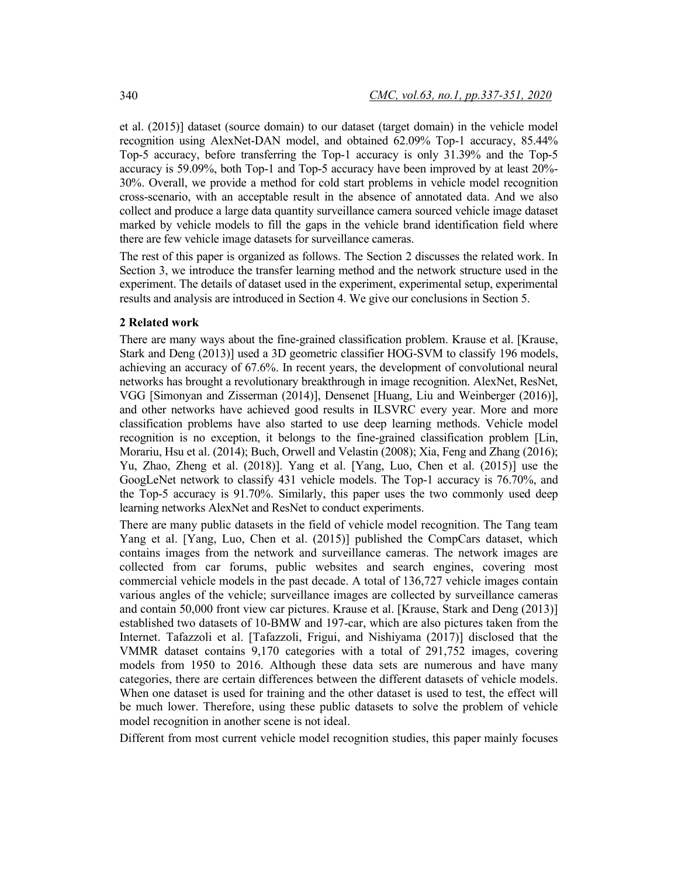et al. (2015)] dataset (source domain) to our dataset (target domain) in the vehicle model recognition using AlexNet-DAN model, and obtained 62.09% Top-1 accuracy, 85.44% Top-5 accuracy, before transferring the Top-1 accuracy is only 31.39% and the Top-5 accuracy is 59.09%, both Top-1 and Top-5 accuracy have been improved by at least 20%- 30%. Overall, we provide a method for cold start problems in vehicle model recognition cross-scenario, with an acceptable result in the absence of annotated data. And we also collect and produce a large data quantity surveillance camera sourced vehicle image dataset marked by vehicle models to fill the gaps in the vehicle brand identification field where there are few vehicle image datasets for surveillance cameras.

The rest of this paper is organized as follows. The Section 2 discusses the related work. In Section 3, we introduce the transfer learning method and the network structure used in the experiment. The details of dataset used in the experiment, experimental setup, experimental results and analysis are introduced in Section 4. We give our conclusions in Section 5.

# **2 Related work**

There are many ways about the fine-grained classification problem. Krause et al. [Krause, Stark and Deng (2013)] used a 3D geometric classifier HOG-SVM to classify 196 models, achieving an accuracy of 67.6%. In recent years, the development of convolutional neural networks has brought a revolutionary breakthrough in image recognition. AlexNet, ResNet, VGG [Simonyan and Zisserman (2014)], Densenet [Huang, Liu and Weinberger (2016)], and other networks have achieved good results in ILSVRC every year. More and more classification problems have also started to use deep learning methods. Vehicle model recognition is no exception, it belongs to the fine-grained classification problem [Lin, Morariu, Hsu et al. (2014); Buch, Orwell and Velastin (2008); Xia, Feng and Zhang (2016); Yu, Zhao, Zheng et al. (2018)]. Yang et al. [Yang, Luo, Chen et al. (2015)] use the GoogLeNet network to classify 431 vehicle models. The Top-1 accuracy is 76.70%, and the Top-5 accuracy is 91.70%. Similarly, this paper uses the two commonly used deep learning networks AlexNet and ResNet to conduct experiments.

There are many public datasets in the field of vehicle model recognition. The Tang team Yang et al. [Yang, Luo, Chen et al. (2015)] published the CompCars dataset, which contains images from the network and surveillance cameras. The network images are collected from car forums, public websites and search engines, covering most commercial vehicle models in the past decade. A total of 136,727 vehicle images contain various angles of the vehicle; surveillance images are collected by surveillance cameras and contain 50,000 front view car pictures. Krause et al. [Krause, Stark and Deng (2013)] established two datasets of 10-BMW and 197-car, which are also pictures taken from the Internet. Tafazzoli et al. [Tafazzoli, Frigui, and Nishiyama (2017)] disclosed that the VMMR dataset contains 9,170 categories with a total of 291,752 images, covering models from 1950 to 2016. Although these data sets are numerous and have many categories, there are certain differences between the different datasets of vehicle models. When one dataset is used for training and the other dataset is used to test, the effect will be much lower. Therefore, using these public datasets to solve the problem of vehicle model recognition in another scene is not ideal.

Different from most current vehicle model recognition studies, this paper mainly focuses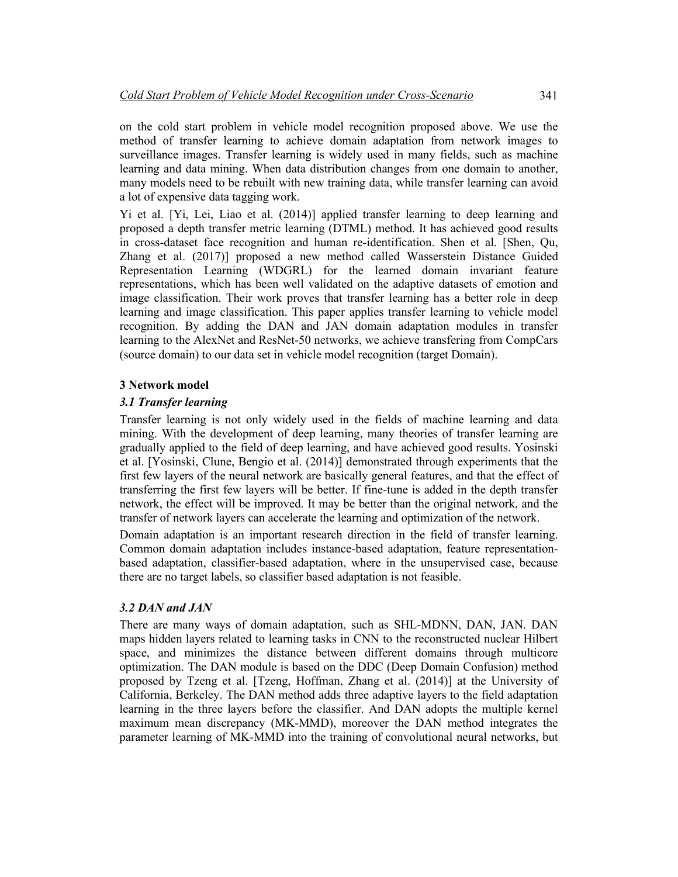on the cold start problem in vehicle model recognition proposed above. We use the method of transfer learning to achieve domain adaptation from network images to surveillance images. Transfer learning is widely used in many fields, such as machine learning and data mining. When data distribution changes from one domain to another, many models need to be rebuilt with new training data, while transfer learning can avoid a lot of expensive data tagging work.

Yi et al. [Yi, Lei, Liao et al. (2014)] applied transfer learning to deep learning and proposed a depth transfer metric learning (DTML) method. It has achieved good results in cross-dataset face recognition and human re-identification. Shen et al. [Shen, Qu, Zhang et al. (2017)] proposed a new method called Wasserstein Distance Guided Representation Learning (WDGRL) for the learned domain invariant feature representations, which has been well validated on the adaptive datasets of emotion and image classification. Their work proves that transfer learning has a better role in deep learning and image classification. This paper applies transfer learning to vehicle model recognition. By adding the DAN and JAN domain adaptation modules in transfer learning to the AlexNet and ResNet-50 networks, we achieve transfering from CompCars (source domain) to our data set in vehicle model recognition (target Domain).

# **3 Network model**

### *3.1 Transfer learning*

Transfer learning is not only widely used in the fields of machine learning and data mining. With the development of deep learning, many theories of transfer learning are gradually applied to the field of deep learning, and have achieved good results. Yosinski et al. [Yosinski, Clune, Bengio et al. (2014)] demonstrated through experiments that the first few layers of the neural network are basically general features, and that the effect of transferring the first few layers will be better. If fine-tune is added in the depth transfer network, the effect will be improved. It may be better than the original network, and the transfer of network layers can accelerate the learning and optimization of the network.

Domain adaptation is an important research direction in the field of transfer learning. Common domain adaptation includes instance-based adaptation, feature representationbased adaptation, classifier-based adaptation, where in the unsupervised case, because there are no target labels, so classifier based adaptation is not feasible.

#### *3.2 DAN and JAN*

There are many ways of domain adaptation, such as SHL-MDNN, DAN, JAN. DAN maps hidden layers related to learning tasks in CNN to the reconstructed nuclear Hilbert space, and minimizes the distance between different domains through multicore optimization. The DAN module is based on the DDC (Deep Domain Confusion) method proposed by Tzeng et al. [Tzeng, Hoffman, Zhang et al. (2014)] at the University of California, Berkeley. The DAN method adds three adaptive layers to the field adaptation learning in the three layers before the classifier. And DAN adopts the multiple kernel maximum mean discrepancy (MK-MMD), moreover the DAN method integrates the parameter learning of MK-MMD into the training of convolutional neural networks, but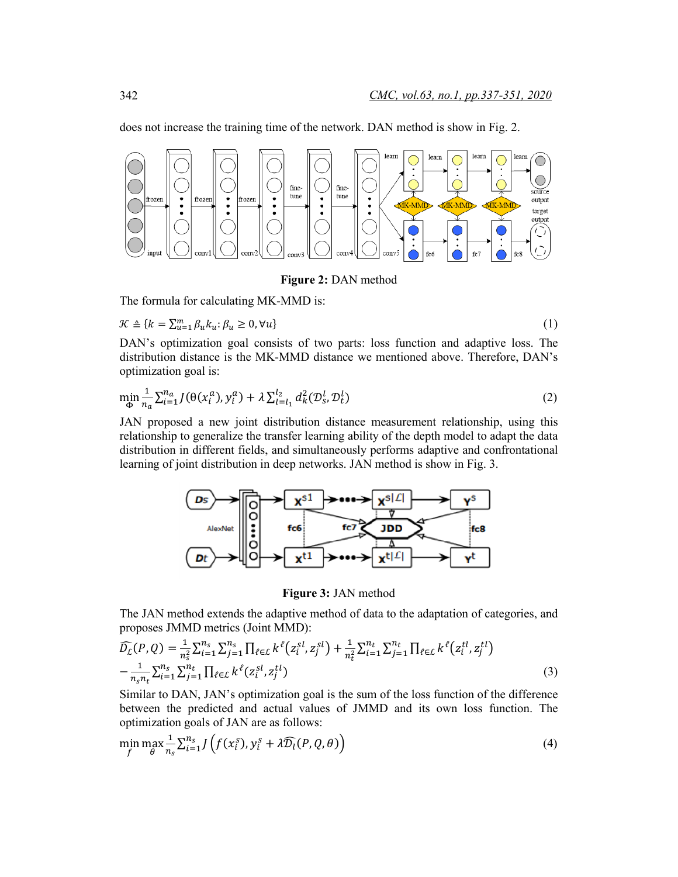does not increase the training time of the network. DAN method is show in Fig. 2.



**Figure 2:** DAN method

The formula for calculating MK-MMD is:

 $\mathcal{K} \triangleq \{k = \sum_{u=1}^{m} \beta_u k_u : \beta_u \geq 0, \forall u\}$  (1)

$$
(1)
$$

DAN's optimization goal consists of two parts: loss function and adaptive loss. The distribution distance is the MK-MMD distance we mentioned above. Therefore, DAN's optimization goal is:

$$
\min_{\Phi} \frac{1}{n_a} \sum_{i=1}^{n_a} J(\theta(x_i^a), y_i^a) + \lambda \sum_{l=l_1}^{l_2} d_k^2(\mathcal{D}_s^l, \mathcal{D}_t^l)
$$
 (2)

JAN proposed a new joint distribution distance measurement relationship, using this relationship to generalize the transfer learning ability of the depth model to adapt the data distribution in different fields, and simultaneously performs adaptive and confrontational learning of joint distribution in deep networks. JAN method is show in Fig. 3.



**Figure 3:** JAN method

The JAN method extends the adaptive method of data to the adaptation of categories, and proposes JMMD metrics (Joint MMD):

$$
\widehat{D}_{L}(P,Q) = \frac{1}{n_{s}^{2}} \sum_{i=1}^{n_{s}} \sum_{j=1}^{n_{s}} \prod_{\ell \in L} k^{\ell}(z_{i}^{sl}, z_{j}^{sl}) + \frac{1}{n_{t}^{2}} \sum_{i=1}^{n_{t}} \sum_{j=1}^{n_{t}} \prod_{\ell \in L} k^{\ell}(z_{i}^{tl}, z_{j}^{tl}) - \frac{1}{n_{s}n_{t}} \sum_{i=1}^{n_{s}} \sum_{j=1}^{n_{t}} \prod_{\ell \in L} k^{\ell}(z_{i}^{sl}, z_{j}^{tl})
$$
\n(3)

Similar to DAN, JAN's optimization goal is the sum of the loss function of the difference between the predicted and actual values of JMMD and its own loss function. The optimization goals of JAN are as follows:

$$
\min_{f} \max_{\theta} \frac{1}{n_s} \sum_{i=1}^{n_s} J\left(f(x_i^s), y_i^s + \lambda \widehat{\mathcal{D}_l}(P, Q, \theta)\right) \tag{4}
$$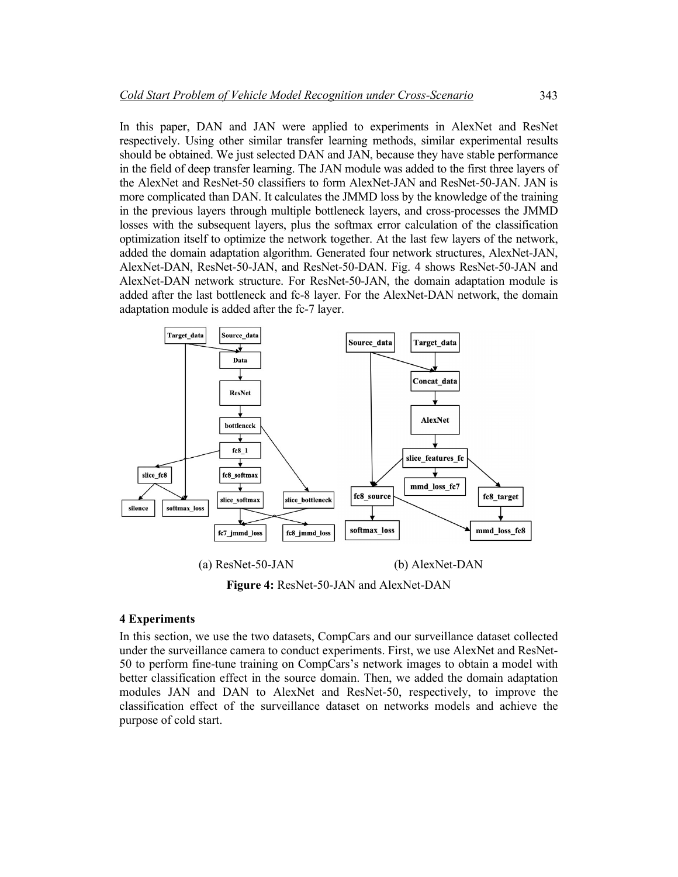In this paper, DAN and JAN were applied to experiments in AlexNet and ResNet respectively. Using other similar transfer learning methods, similar experimental results should be obtained. We just selected DAN and JAN, because they have stable performance in the field of deep transfer learning. The JAN module was added to the first three layers of the AlexNet and ResNet-50 classifiers to form AlexNet-JAN and ResNet-50-JAN. JAN is more complicated than DAN. It calculates the JMMD loss by the knowledge of the training in the previous layers through multiple bottleneck layers, and cross-processes the JMMD losses with the subsequent layers, plus the softmax error calculation of the classification optimization itself to optimize the network together. At the last few layers of the network, added the domain adaptation algorithm. Generated four network structures, AlexNet-JAN, AlexNet-DAN, ResNet-50-JAN, and ResNet-50-DAN. Fig. 4 shows ResNet-50-JAN and AlexNet-DAN network structure. For ResNet-50-JAN, the domain adaptation module is added after the last bottleneck and fc-8 layer. For the AlexNet-DAN network, the domain adaptation module is added after the fc-7 layer.



**Figure 4:** ResNet-50-JAN and AlexNet-DAN

# **4 Experiments**

In this section, we use the two datasets, CompCars and our surveillance dataset collected under the surveillance camera to conduct experiments. First, we use AlexNet and ResNet-50 to perform fine-tune training on CompCars's network images to obtain a model with better classification effect in the source domain. Then, we added the domain adaptation modules JAN and DAN to AlexNet and ResNet-50, respectively, to improve the classification effect of the surveillance dataset on networks models and achieve the purpose of cold start.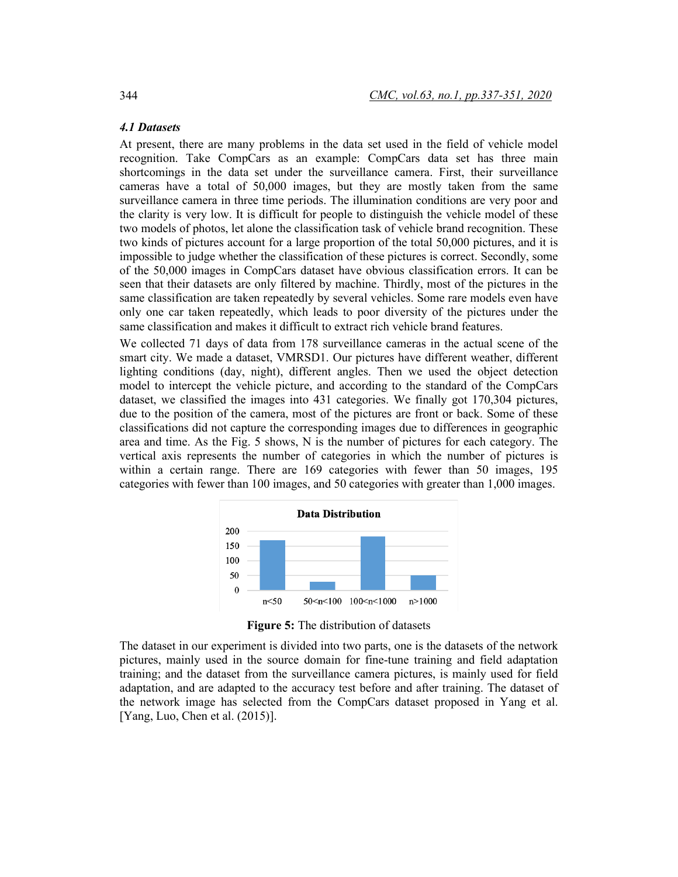# *4.1 Datasets*

At present, there are many problems in the data set used in the field of vehicle model recognition. Take CompCars as an example: CompCars data set has three main shortcomings in the data set under the surveillance camera. First, their surveillance cameras have a total of 50,000 images, but they are mostly taken from the same surveillance camera in three time periods. The illumination conditions are very poor and the clarity is very low. It is difficult for people to distinguish the vehicle model of these two models of photos, let alone the classification task of vehicle brand recognition. These two kinds of pictures account for a large proportion of the total 50,000 pictures, and it is impossible to judge whether the classification of these pictures is correct. Secondly, some of the 50,000 images in CompCars dataset have obvious classification errors. It can be seen that their datasets are only filtered by machine. Thirdly, most of the pictures in the same classification are taken repeatedly by several vehicles. Some rare models even have only one car taken repeatedly, which leads to poor diversity of the pictures under the same classification and makes it difficult to extract rich vehicle brand features.

We collected 71 days of data from 178 surveillance cameras in the actual scene of the smart city. We made a dataset, VMRSD1. Our pictures have different weather, different lighting conditions (day, night), different angles. Then we used the object detection model to intercept the vehicle picture, and according to the standard of the CompCars dataset, we classified the images into 431 categories. We finally got 170,304 pictures, due to the position of the camera, most of the pictures are front or back. Some of these classifications did not capture the corresponding images due to differences in geographic area and time. As the Fig. 5 shows, N is the number of pictures for each category. The vertical axis represents the number of categories in which the number of pictures is within a certain range. There are 169 categories with fewer than 50 images, 195 categories with fewer than 100 images, and 50 categories with greater than 1,000 images.



**Figure 5:** The distribution of datasets

The dataset in our experiment is divided into two parts, one is the datasets of the network pictures, mainly used in the source domain for fine-tune training and field adaptation training; and the dataset from the surveillance camera pictures, is mainly used for field adaptation, and are adapted to the accuracy test before and after training. The dataset of the network image has selected from the CompCars dataset proposed in Yang et al. [Yang, Luo, Chen et al. (2015)].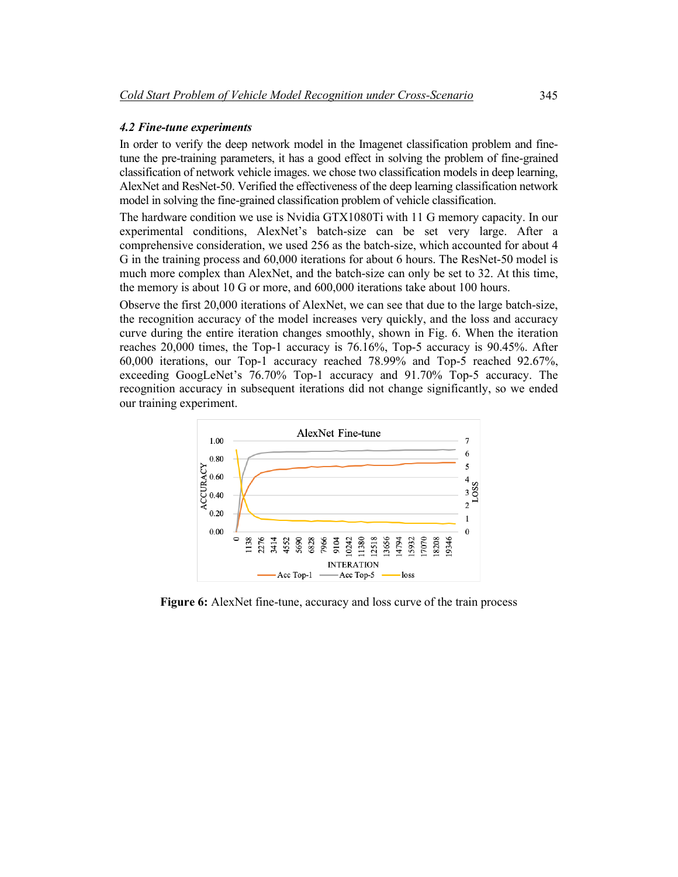### *4.2 Fine-tune experiments*

In order to verify the deep network model in the Imagenet classification problem and finetune the pre-training parameters, it has a good effect in solving the problem of fine-grained classification of network vehicle images. we chose two classification models in deep learning, AlexNet and ResNet-50. Verified the effectiveness of the deep learning classification network model in solving the fine-grained classification problem of vehicle classification.

The hardware condition we use is Nvidia GTX1080Ti with 11 G memory capacity. In our experimental conditions, AlexNet's batch-size can be set very large. After a comprehensive consideration, we used 256 as the batch-size, which accounted for about 4 G in the training process and 60,000 iterations for about 6 hours. The ResNet-50 model is much more complex than AlexNet, and the batch-size can only be set to 32. At this time, the memory is about 10 G or more, and 600,000 iterations take about 100 hours.

Observe the first 20,000 iterations of AlexNet, we can see that due to the large batch-size, the recognition accuracy of the model increases very quickly, and the loss and accuracy curve during the entire iteration changes smoothly, shown in Fig. 6. When the iteration reaches 20,000 times, the Top-1 accuracy is 76.16%, Top-5 accuracy is 90.45%. After 60,000 iterations, our Top-1 accuracy reached 78.99% and Top-5 reached 92.67%, exceeding GoogLeNet's 76.70% Top-1 accuracy and 91.70% Top-5 accuracy. The recognition accuracy in subsequent iterations did not change significantly, so we ended our training experiment.



**Figure 6:** AlexNet fine-tune, accuracy and loss curve of the train process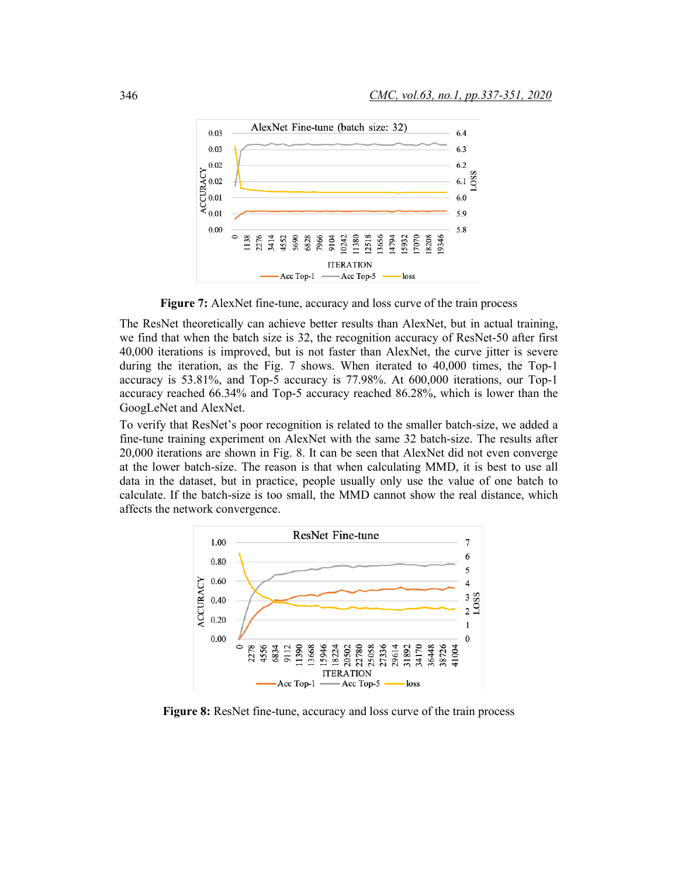

**Figure 7:** AlexNet fine-tune, accuracy and loss curve of the train process

The ResNet theoretically can achieve better results than AlexNet, but in actual training, we find that when the batch size is 32, the recognition accuracy of ResNet-50 after first 40,000 iterations is improved, but is not faster than AlexNet, the curve jitter is severe during the iteration, as the Fig. 7 shows. When iterated to 40,000 times, the Top-1 accuracy is 53.81%, and Top-5 accuracy is 77.98%. At 600,000 iterations, our Top-1 accuracy reached 66.34% and Top-5 accuracy reached 86.28%, which is lower than the GoogLeNet and AlexNet.

To verify that ResNet's poor recognition is related to the smaller batch-size, we added a fine-tune training experiment on AlexNet with the same 32 batch-size. The results after 20,000 iterations are shown in Fig. 8. It can be seen that AlexNet did not even converge at the lower batch-size. The reason is that when calculating MMD, it is best to use all data in the dataset, but in practice, people usually only use the value of one batch to calculate. If the batch-size is too small, the MMD cannot show the real distance, which affects the network convergence.



**Figure 8:** ResNet fine-tune, accuracy and loss curve of the train process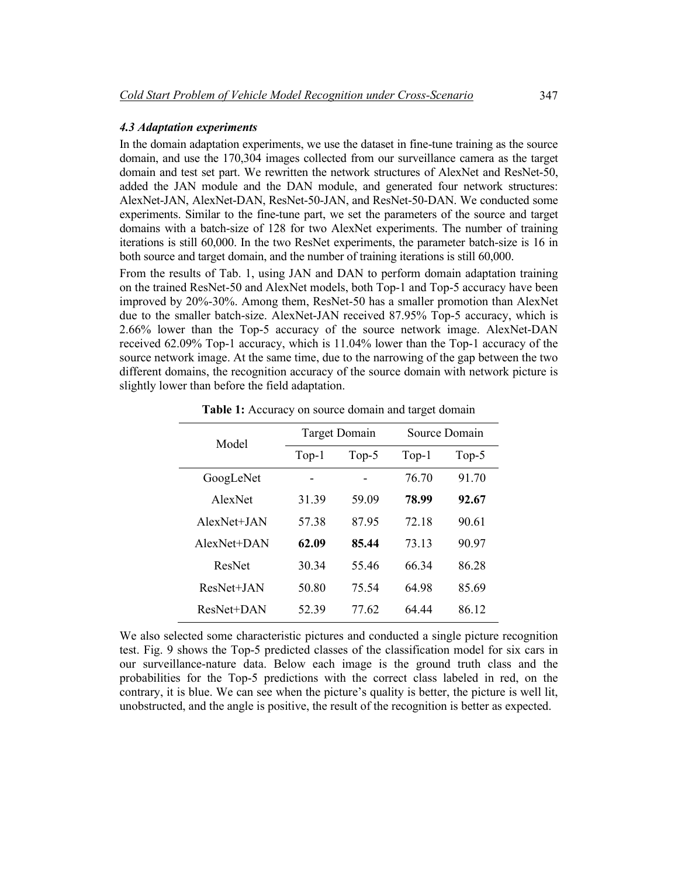# *4.3 Adaptation experiments*

In the domain adaptation experiments, we use the dataset in fine-tune training as the source domain, and use the 170,304 images collected from our surveillance camera as the target domain and test set part. We rewritten the network structures of AlexNet and ResNet-50, added the JAN module and the DAN module, and generated four network structures: AlexNet-JAN, AlexNet-DAN, ResNet-50-JAN, and ResNet-50-DAN. We conducted some experiments. Similar to the fine-tune part, we set the parameters of the source and target domains with a batch-size of 128 for two AlexNet experiments. The number of training iterations is still 60,000. In the two ResNet experiments, the parameter batch-size is 16 in both source and target domain, and the number of training iterations is still 60,000.

From the results of Tab. 1, using JAN and DAN to perform domain adaptation training on the trained ResNet-50 and AlexNet models, both Top-1 and Top-5 accuracy have been improved by 20%-30%. Among them, ResNet-50 has a smaller promotion than AlexNet due to the smaller batch-size. AlexNet-JAN received 87.95% Top-5 accuracy, which is 2.66% lower than the Top-5 accuracy of the source network image. AlexNet-DAN received 62.09% Top-1 accuracy, which is 11.04% lower than the Top-1 accuracy of the source network image. At the same time, due to the narrowing of the gap between the two different domains, the recognition accuracy of the source domain with network picture is slightly lower than before the field adaptation.

| Model         | Target Domain |       | Source Domain |       |
|---------------|---------------|-------|---------------|-------|
|               | $Top-1$       | Top-5 | $Top-1$       | Top-5 |
| GoogLeNet     |               |       | 76.70         | 91 70 |
| AlexNet       | 31.39         | 59.09 | 78.99         | 92.67 |
| $AlexNet+IAN$ | 5738          | 8795  | 72.18         | 90.61 |
| AlexNet+DAN   | 62.09         | 85.44 | 73 13         | 90.97 |
| ResNet        | 30.34         | 5546  | 66 34         | 86.28 |
| ResNet+JAN    | 50.80         | 75.54 | 64 98         | 85.69 |
| ResNet+DAN    | 52.39         | 77.62 | 64 44         | 86.12 |

Table 1: Accuracy on source domain and target domain

We also selected some characteristic pictures and conducted a single picture recognition test. Fig. 9 shows the Top-5 predicted classes of the classification model for six cars in our surveillance-nature data. Below each image is the ground truth class and the probabilities for the Top-5 predictions with the correct class labeled in red, on the contrary, it is blue. We can see when the picture's quality is better, the picture is well lit, unobstructed, and the angle is positive, the result of the recognition is better as expected.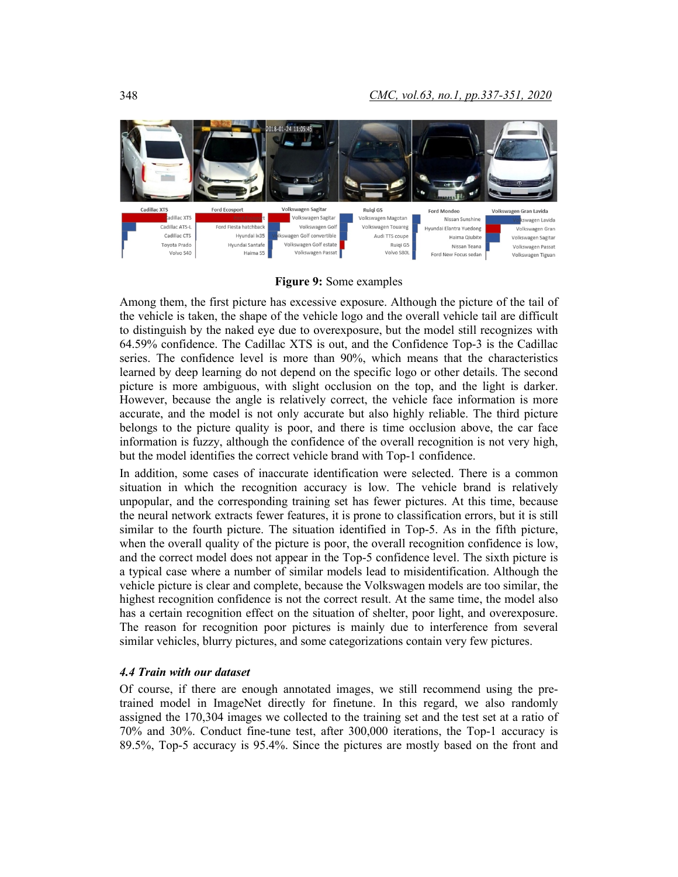

# **Figure 9:** Some examples

Among them, the first picture has excessive exposure. Although the picture of the tail of the vehicle is taken, the shape of the vehicle logo and the overall vehicle tail are difficult to distinguish by the naked eye due to overexposure, but the model still recognizes with 64.59% confidence. The Cadillac XTS is out, and the Confidence Top-3 is the Cadillac series. The confidence level is more than 90%, which means that the characteristics learned by deep learning do not depend on the specific logo or other details. The second picture is more ambiguous, with slight occlusion on the top, and the light is darker. However, because the angle is relatively correct, the vehicle face information is more accurate, and the model is not only accurate but also highly reliable. The third picture belongs to the picture quality is poor, and there is time occlusion above, the car face information is fuzzy, although the confidence of the overall recognition is not very high, but the model identifies the correct vehicle brand with Top-1 confidence.

In addition, some cases of inaccurate identification were selected. There is a common situation in which the recognition accuracy is low. The vehicle brand is relatively unpopular, and the corresponding training set has fewer pictures. At this time, because the neural network extracts fewer features, it is prone to classification errors, but it is still similar to the fourth picture. The situation identified in Top-5. As in the fifth picture, when the overall quality of the picture is poor, the overall recognition confidence is low, and the correct model does not appear in the Top-5 confidence level. The sixth picture is a typical case where a number of similar models lead to misidentification. Although the vehicle picture is clear and complete, because the Volkswagen models are too similar, the highest recognition confidence is not the correct result. At the same time, the model also has a certain recognition effect on the situation of shelter, poor light, and overexposure. The reason for recognition poor pictures is mainly due to interference from several similar vehicles, blurry pictures, and some categorizations contain very few pictures.

## *4.4 Train with our dataset*

Of course, if there are enough annotated images, we still recommend using the pretrained model in ImageNet directly for finetune. In this regard, we also randomly assigned the 170,304 images we collected to the training set and the test set at a ratio of 70% and 30%. Conduct fine-tune test, after 300,000 iterations, the Top-1 accuracy is 89.5%, Top-5 accuracy is 95.4%. Since the pictures are mostly based on the front and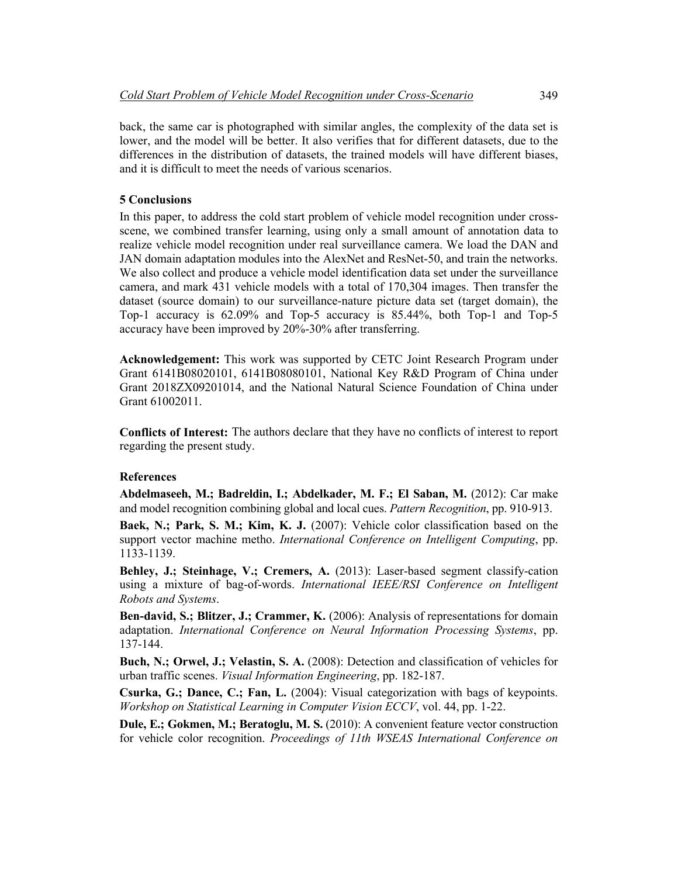back, the same car is photographed with similar angles, the complexity of the data set is lower, and the model will be better. It also verifies that for different datasets, due to the differences in the distribution of datasets, the trained models will have different biases, and it is difficult to meet the needs of various scenarios.

### **5 Conclusions**

In this paper, to address the cold start problem of vehicle model recognition under crossscene, we combined transfer learning, using only a small amount of annotation data to realize vehicle model recognition under real surveillance camera. We load the DAN and JAN domain adaptation modules into the AlexNet and ResNet-50, and train the networks. We also collect and produce a vehicle model identification data set under the surveillance camera, and mark 431 vehicle models with a total of 170,304 images. Then transfer the dataset (source domain) to our surveillance-nature picture data set (target domain), the Top-1 accuracy is 62.09% and Top-5 accuracy is 85.44%, both Top-1 and Top-5 accuracy have been improved by 20%-30% after transferring.

**Acknowledgement:** This work was supported by CETC Joint Research Program under Grant 6141B08020101, 6141B08080101, National Key R&D Program of China under Grant 2018ZX09201014, and the National Natural Science Foundation of China under Grant 61002011.

**Conflicts of Interest:** The authors declare that they have no conflicts of interest to report regarding the present study.

### **References**

**Abdelmaseeh, M.; Badreldin, I.; Abdelkader, M. F.; El Saban, M.** (2012): Car make and model recognition combining global and local cues. *Pattern Recognition*, pp. 910-913.

**Baek, N.; Park, S. M.; Kim, K. J.** (2007): Vehicle color classification based on the support vector machine metho. *International Conference on Intelligent Computing*, pp. 1133-1139.

**Behley, J.; Steinhage, V.; Cremers, A.** (2013): Laser-based segment classify-cation using a mixture of bag-of-words. *International IEEE/RSI Conference on Intelligent Robots and Systems*.

**Ben-david, S.; Blitzer, J.; Crammer, K.** (2006): Analysis of representations for domain adaptation. *International Conference on Neural Information Processing Systems*, pp. 137-144.

**Buch, N.; Orwel, J.; Velastin, S. A.** (2008): Detection and classification of vehicles for urban traffic scenes. *Visual Information Engineering*, pp. 182-187.

**Csurka, G.; Dance, C.; Fan, L.** (2004): Visual categorization with bags of keypoints. *Workshop on Statistical Learning in Computer Vision ECCV*, vol. 44, pp. 1-22.

**Dule, E.; Gokmen, M.; Beratoglu, M. S.** (2010): A convenient feature vector construction for vehicle color recognition. *Proceedings of 11th WSEAS International Conference on*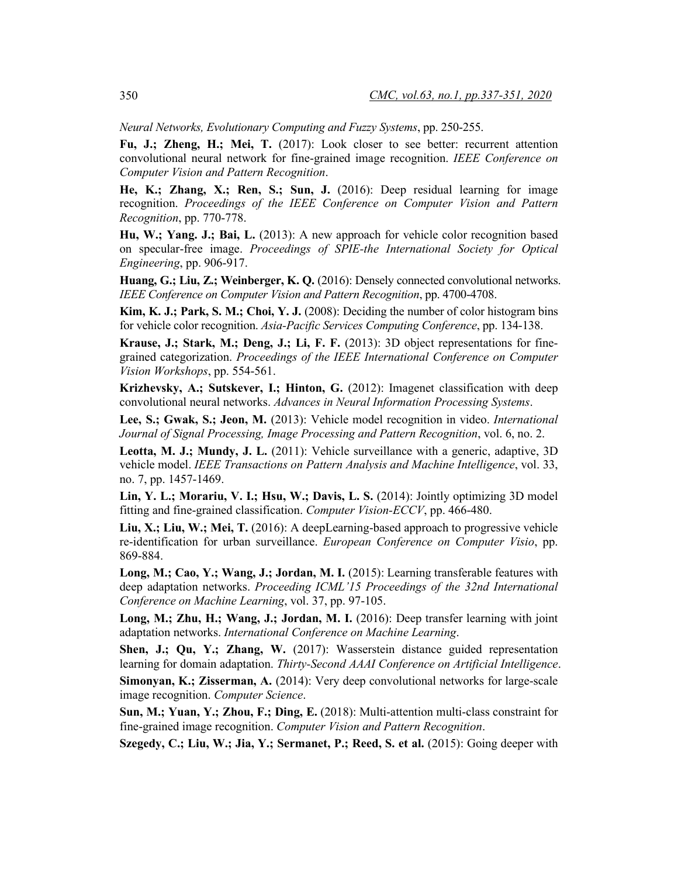*Neural Networks, Evolutionary Computing and Fuzzy Systems*, pp. 250-255.

**Fu, J.; Zheng, H.; Mei, T.** (2017): Look closer to see better: recurrent attention convolutional neural network for fine-grained image recognition. *IEEE Conference on Computer Vision and Pattern Recognition*.

**He, K.; Zhang, X.; Ren, S.; Sun, J.** (2016): Deep residual learning for image recognition. *Proceedings of the IEEE Conference on Computer Vision and Pattern Recognition*, pp. 770-778.

**Hu, W.; Yang. J.; Bai, L.** (2013): A new approach for vehicle color recognition based on specular-free image. *Proceedings of SPIE-the International Society for Optical Engineering*, pp. 906-917.

**Huang, G.; Liu, Z.; Weinberger, K. Q.** (2016): Densely connected convolutional networks. *IEEE Conference on Computer Vision and Pattern Recognition*, pp. 4700-4708.

**Kim, K. J.; Park, S. M.; Choi, Y. J.** (2008): Deciding the number of color histogram bins for vehicle color recognition. *Asia-Pacific Services Computing Conference*, pp. 134-138.

**Krause, J.; Stark, M.; Deng, J.; Li, F. F.** (2013): 3D object representations for finegrained categorization. *Proceedings of the IEEE International Conference on Computer Vision Workshops*, pp. 554-561.

**Krizhevsky, A.; Sutskever, I.; Hinton, G.** (2012): Imagenet classification with deep convolutional neural networks. *Advances in Neural Information Processing Systems*.

**Lee, S.; Gwak, S.; Jeon, M.** (2013): Vehicle model recognition in video. *International Journal of Signal Processing, Image Processing and Pattern Recognition*, vol. 6, no. 2.

**Leotta, M. J.; Mundy, J. L.** (2011): Vehicle surveillance with a generic, adaptive, 3D vehicle model. *IEEE Transactions on Pattern Analysis and Machine Intelligence*, vol. 33, no. 7, pp. 1457-1469.

**Lin, Y. L.; Morariu, V. I.; Hsu, W.; Davis, L. S.** (2014): Jointly optimizing 3D model fitting and fine-grained classification. *Computer Vision-ECCV*, pp. 466-480.

**Liu, X.; Liu, W.; Mei, T.** (2016): A deepLearning-based approach to progressive vehicle re-identification for urban surveillance. *European Conference on Computer Visio*, pp. 869-884.

**Long, M.; Cao, Y.; Wang, J.; Jordan, M. I.** (2015): Learning transferable features with deep adaptation networks. *Proceeding ICML'15 Proceedings of the 32nd International Conference on Machine Learning*, vol. 37, pp. 97-105.

**Long, M.; Zhu, H.; Wang, J.; Jordan, M. I.** (2016): Deep transfer learning with joint adaptation networks. *International Conference on Machine Learning*.

**Shen, J.; Qu, Y.; Zhang, W.** (2017): Wasserstein distance guided representation learning for domain adaptation. *Thirty-Second AAAI Conference on Artificial Intelligence*.

**Simonyan, K.; Zisserman, A.** (2014): Very deep convolutional networks for large-scale image recognition. *Computer Science*.

**Sun, M.; Yuan, Y.; Zhou, F.; Ding, E.** (2018): Multi-attention multi-class constraint for fine-grained image recognition. *Computer Vision and Pattern Recognition*.

**Szegedy, C.; Liu, W.; Jia, Y.; Sermanet, P.; Reed, S. et al.** (2015): Going deeper with